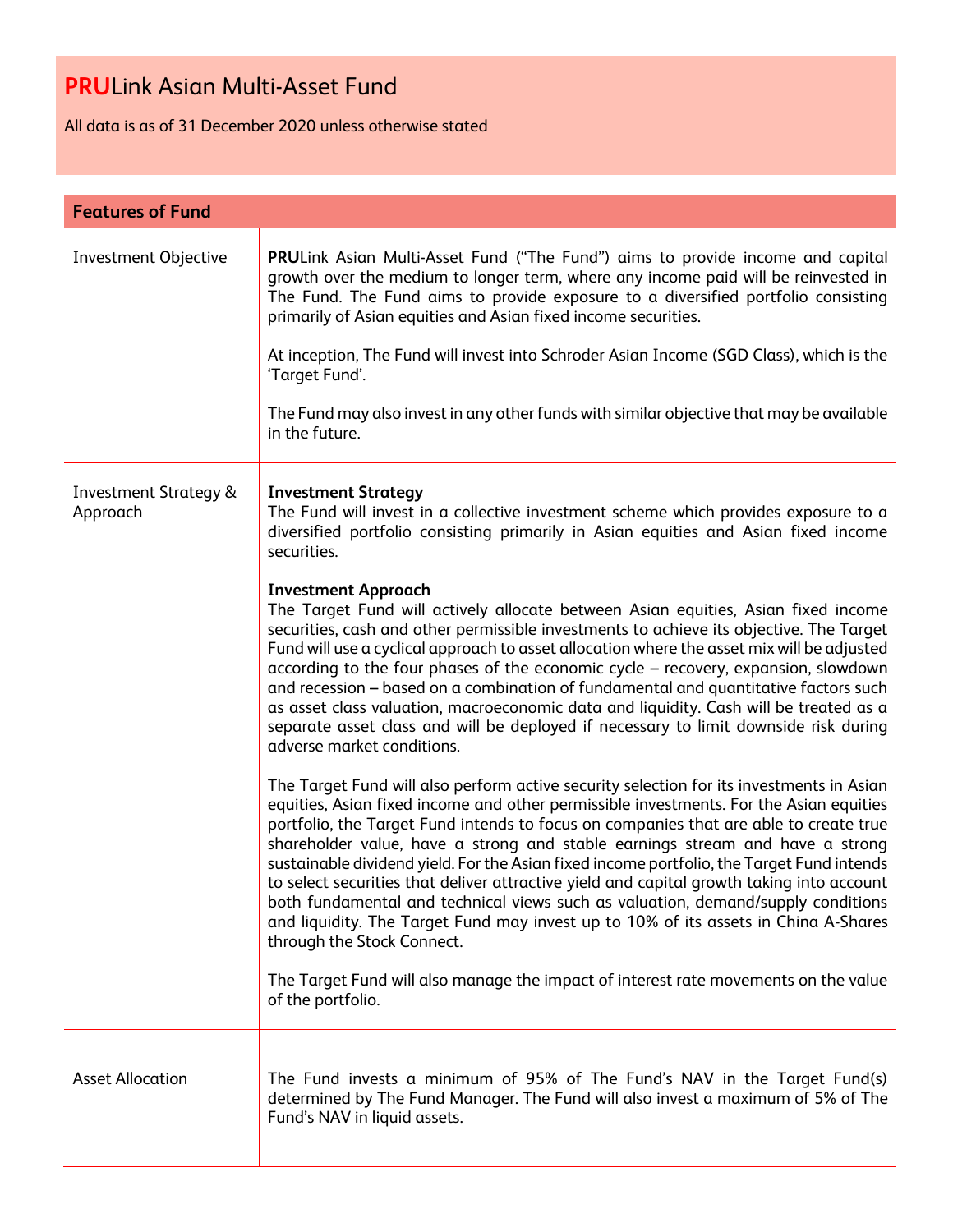All data is as of 31 December 2020 unless otherwise stated

| <b>Features of Fund</b>                      |                                                                                                                                                                                                                                                                                                                                                                                                                                                                                                                                                                                                                                                                                                                                                                 |
|----------------------------------------------|-----------------------------------------------------------------------------------------------------------------------------------------------------------------------------------------------------------------------------------------------------------------------------------------------------------------------------------------------------------------------------------------------------------------------------------------------------------------------------------------------------------------------------------------------------------------------------------------------------------------------------------------------------------------------------------------------------------------------------------------------------------------|
| <b>Investment Objective</b>                  | PRULink Asian Multi-Asset Fund ("The Fund") aims to provide income and capital<br>growth over the medium to longer term, where any income paid will be reinvested in<br>The Fund. The Fund aims to provide exposure to a diversified portfolio consisting<br>primarily of Asian equities and Asian fixed income securities.<br>At inception, The Fund will invest into Schroder Asian Income (SGD Class), which is the<br>'Target Fund'.                                                                                                                                                                                                                                                                                                                        |
|                                              | The Fund may also invest in any other funds with similar objective that may be available<br>in the future.                                                                                                                                                                                                                                                                                                                                                                                                                                                                                                                                                                                                                                                      |
| <b>Investment Strategy &amp;</b><br>Approach | <b>Investment Strategy</b><br>The Fund will invest in a collective investment scheme which provides exposure to a<br>diversified portfolio consisting primarily in Asian equities and Asian fixed income<br>securities.                                                                                                                                                                                                                                                                                                                                                                                                                                                                                                                                         |
|                                              | <b>Investment Approach</b><br>The Target Fund will actively allocate between Asian equities, Asian fixed income<br>securities, cash and other permissible investments to achieve its objective. The Target<br>Fund will use a cyclical approach to asset allocation where the asset mix will be adjusted<br>according to the four phases of the economic cycle - recovery, expansion, slowdown<br>and recession – based on a combination of fundamental and quantitative factors such<br>as asset class valuation, macroeconomic data and liquidity. Cash will be treated as a<br>separate asset class and will be deployed if necessary to limit downside risk during<br>adverse market conditions.                                                            |
|                                              | The Target Fund will also perform active security selection for its investments in Asian<br>equities, Asian fixed income and other permissible investments. For the Asian equities<br>portfolio, the Target Fund intends to focus on companies that are able to create true<br>shareholder value, have a strong and stable earnings stream and have a strong<br>sustainable dividend yield. For the Asian fixed income portfolio, the Target Fund intends<br>to select securities that deliver attractive yield and capital growth taking into account<br>both fundamental and technical views such as valuation, demand/supply conditions<br>and liquidity. The Target Fund may invest up to 10% of its assets in China A-Shares<br>through the Stock Connect. |
|                                              | The Target Fund will also manage the impact of interest rate movements on the value<br>of the portfolio.                                                                                                                                                                                                                                                                                                                                                                                                                                                                                                                                                                                                                                                        |
| <b>Asset Allocation</b>                      | The Fund invests a minimum of 95% of The Fund's NAV in the Target Fund(s)<br>determined by The Fund Manager. The Fund will also invest a maximum of 5% of The<br>Fund's NAV in liquid assets.                                                                                                                                                                                                                                                                                                                                                                                                                                                                                                                                                                   |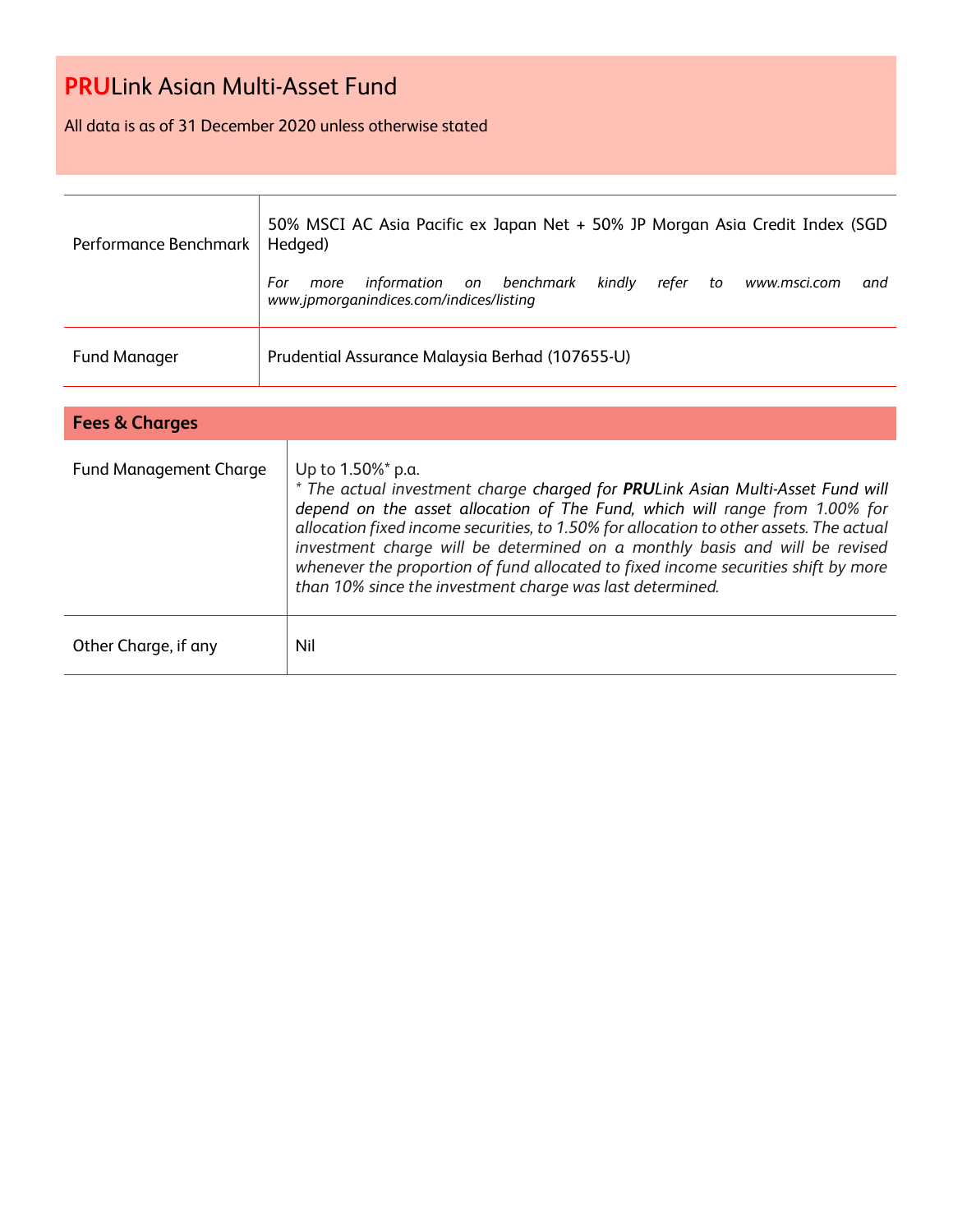All data is as of 31 December 2020 unless otherwise stated

| Performance Benchmark | 50% MSCI AC Asia Pacific ex Japan Net + 50% JP Morgan Asia Credit Index (SGD<br>Hedged)                                            |  |  |  |  |  |
|-----------------------|------------------------------------------------------------------------------------------------------------------------------------|--|--|--|--|--|
|                       | kindly<br>information on benchmark<br>For<br>refer<br>www.msci.com<br>to<br>more<br>and<br>www.jpmorganindices.com/indices/listing |  |  |  |  |  |
| <b>Fund Manager</b>   | Prudential Assurance Malaysia Berhad (107655-U)                                                                                    |  |  |  |  |  |

| <b>Fees &amp; Charges</b> |                                                                                                                                                                                                                                                                                                                                                                                                                                                                                                                 |
|---------------------------|-----------------------------------------------------------------------------------------------------------------------------------------------------------------------------------------------------------------------------------------------------------------------------------------------------------------------------------------------------------------------------------------------------------------------------------------------------------------------------------------------------------------|
| Fund Management Charge    | Up to 1.50%* p.a.<br>* The actual investment charge charged for PRULink Asian Multi-Asset Fund will<br>depend on the asset allocation of The Fund, which will range from 1.00% for<br>allocation fixed income securities, to 1.50% for allocation to other assets. The actual<br>investment charge will be determined on a monthly basis and will be revised<br>whenever the proportion of fund allocated to fixed income securities shift by more<br>than 10% since the investment charge was last determined. |
| Other Charge, if any      | Nil                                                                                                                                                                                                                                                                                                                                                                                                                                                                                                             |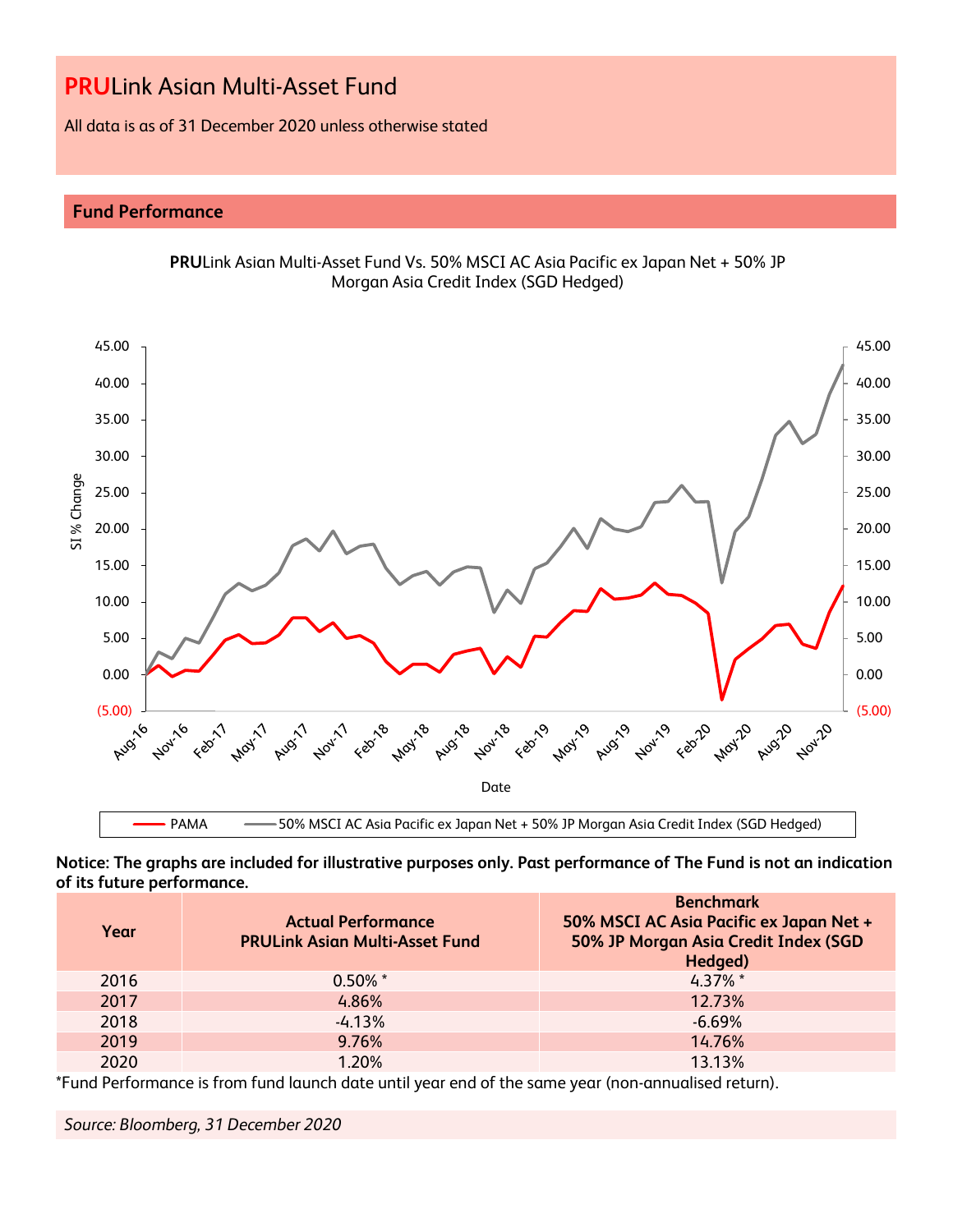All data is as of 31 December 2020 unless otherwise stated

# **Fund Performance**

0.00

5.00

10.00

SI % Change



**PRU**Link Asian Multi-Asset Fund Vs. 50% MSCI AC Asia Pacific ex Japan Net + 50% JP Morgan Asia Credit Index (SGD Hedged)



(5.00)

0.00

5.00

10.00

**Notice: The graphs are included for illustrative purposes only. Past performance of The Fund is not an indication of its future performance.**

| Year | <b>Actual Performance</b><br><b>PRULink Asian Multi-Asset Fund</b> | <b>Benchmark</b><br>50% MSCI AC Asia Pacific ex Japan Net +<br>50% JP Morgan Asia Credit Index (SGD<br>Hedged) |
|------|--------------------------------------------------------------------|----------------------------------------------------------------------------------------------------------------|
| 2016 | $0.50\%$ *                                                         | $4.37\%$ *                                                                                                     |
| 2017 | 4.86%                                                              | 12.73%                                                                                                         |
| 2018 | $-4.13%$                                                           | $-6.69\%$                                                                                                      |
| 2019 | 9.76%                                                              | 14.76%                                                                                                         |
| 2020 | 1.20%                                                              | 13.13%                                                                                                         |

\*Fund Performance is from fund launch date until year end of the same year (non-annualised return).

*Source: Bloomberg, 31 December 2020*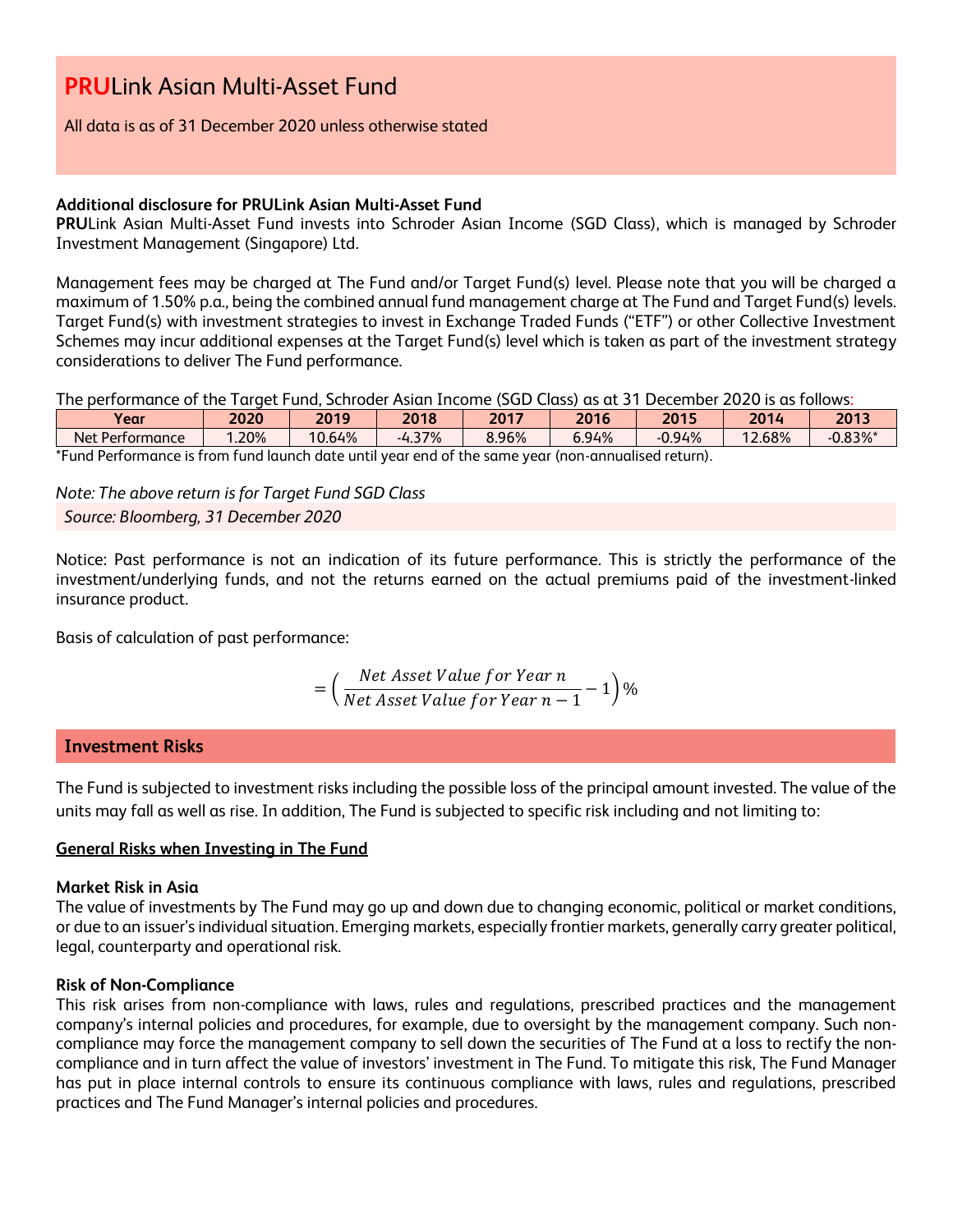#### All data is as of 31 December 2020 unless otherwise stated

#### **Additional disclosure for PRULink Asian Multi-Asset Fund**

**PRU**Link Asian Multi-Asset Fund invests into Schroder Asian Income (SGD Class), which is managed by Schroder Investment Management (Singapore) Ltd.

Management fees may be charged at The Fund and/or Target Fund(s) level. Please note that you will be charged a maximum of 1.50% p.a., being the combined annual fund management charge at The Fund and Target Fund(s) levels. Target Fund(s) with investment strategies to invest in Exchange Traded Funds ("ETF") or other Collective Investment Schemes may incur additional expenses at the Target Fund(s) level which is taken as part of the investment strategy considerations to deliver The Fund performance.

The performance of the Target Fund, Schroder Asian Income (SGD Class) as at 31 December 2020 is as follows:

| <b>Year</b>                                                                                              | 2020 | 2019   | 2018     | 2017  | 2016  | 2015     | 2014               | 2013       |
|----------------------------------------------------------------------------------------------------------|------|--------|----------|-------|-------|----------|--------------------|------------|
| Net Performance                                                                                          | .20% | 10.64% | $-4.37%$ | 8.96% | 6.94% | $-0.94%$ | $2.68\%$<br>$\sim$ | $-0.83%$ * |
| *Fund Performance is from<br>) fund launch date until vear end of the same vear (non-annualised return). |      |        |          |       |       |          |                    |            |

*Note: The above return is for Target Fund SGD Class Source: Bloomberg, 31 December 2020*

Notice: Past performance is not an indication of its future performance. This is strictly the performance of the investment/underlying funds, and not the returns earned on the actual premiums paid of the investment-linked insurance product.

Basis of calculation of past performance:

$$
= \left(\frac{Net\ Asset\ Value\ for\ Year\ n}{Net\ Asset\ Value\ for\ Year\ n-1} - 1\right)\%
$$

# **Investment Risks**

The Fund is subjected to investment risks including the possible loss of the principal amount invested. The value of the units may fall as well as rise. In addition, The Fund is subjected to specific risk including and not limiting to:

#### **General Risks when Investing in The Fund**

#### **Market Risk in Asia**

The value of investments by The Fund may go up and down due to changing economic, political or market conditions, or due to an issuer's individual situation. Emerging markets, especially frontier markets, generally carry greater political, legal, counterparty and operational risk.

#### **Risk of Non-Compliance**

This risk arises from non-compliance with laws, rules and regulations, prescribed practices and the management company's internal policies and procedures, for example, due to oversight by the management company. Such noncompliance may force the management company to sell down the securities of The Fund at a loss to rectify the noncompliance and in turn affect the value of investors' investment in The Fund. To mitigate this risk, The Fund Manager has put in place internal controls to ensure its continuous compliance with laws, rules and regulations, prescribed practices and The Fund Manager's internal policies and procedures.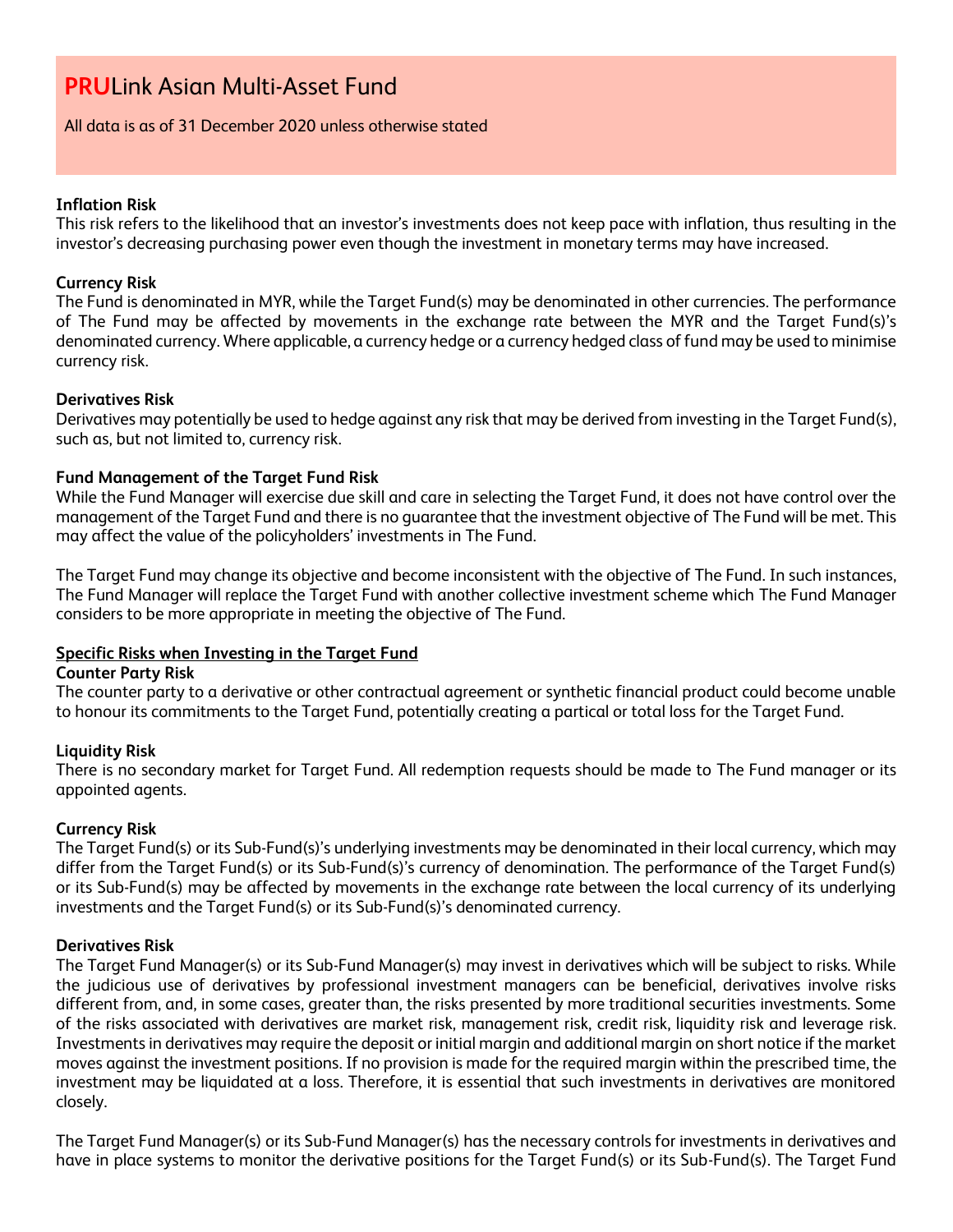#### All data is as of 31 December 2020 unless otherwise stated

# **Inflation Risk**

This risk refers to the likelihood that an investor's investments does not keep pace with inflation, thus resulting in the investor's decreasing purchasing power even though the investment in monetary terms may have increased.

# **Currency Risk**

The Fund is denominated in MYR, while the Target Fund(s) may be denominated in other currencies. The performance of The Fund may be affected by movements in the exchange rate between the MYR and the Target Fund(s)'s denominated currency. Where applicable, a currency hedge or a currency hedged class of fund may be used to minimise currency risk.

# **Derivatives Risk**

Derivatives may potentially be used to hedge against any risk that may be derived from investing in the Target Fund(s), such as, but not limited to, currency risk.

# **Fund Management of the Target Fund Risk**

While the Fund Manager will exercise due skill and care in selecting the Target Fund, it does not have control over the management of the Target Fund and there is no guarantee that the investment objective of The Fund will be met. This may affect the value of the policyholders' investments in The Fund.

The Target Fund may change its objective and become inconsistent with the objective of The Fund. In such instances, The Fund Manager will replace the Target Fund with another collective investment scheme which The Fund Manager considers to be more appropriate in meeting the objective of The Fund.

#### **Specific Risks when Investing in the Target Fund**

#### **Counter Party Risk**

The counter party to a derivative or other contractual agreement or synthetic financial product could become unable to honour its commitments to the Target Fund, potentially creating a partical or total loss for the Target Fund.

#### **Liquidity Risk**

There is no secondary market for Target Fund. All redemption requests should be made to The Fund manager or its appointed agents.

#### **Currency Risk**

The Target Fund(s) or its Sub-Fund(s)'s underlying investments may be denominated in their local currency, which may differ from the Target Fund(s) or its Sub-Fund(s)'s currency of denomination. The performance of the Target Fund(s) or its Sub-Fund(s) may be affected by movements in the exchange rate between the local currency of its underlying investments and the Target Fund(s) or its Sub-Fund(s)'s denominated currency.

#### **Derivatives Risk**

The Target Fund Manager(s) or its Sub-Fund Manager(s) may invest in derivatives which will be subject to risks. While the judicious use of derivatives by professional investment managers can be beneficial, derivatives involve risks different from, and, in some cases, greater than, the risks presented by more traditional securities investments. Some of the risks associated with derivatives are market risk, management risk, credit risk, liquidity risk and leverage risk. Investments in derivatives may require the deposit or initial margin and additional margin on short notice if the market moves against the investment positions. If no provision is made for the required margin within the prescribed time, the investment may be liquidated at a loss. Therefore, it is essential that such investments in derivatives are monitored closely.

The Target Fund Manager(s) or its Sub-Fund Manager(s) has the necessary controls for investments in derivatives and have in place systems to monitor the derivative positions for the Target Fund(s) or its Sub-Fund(s). The Target Fund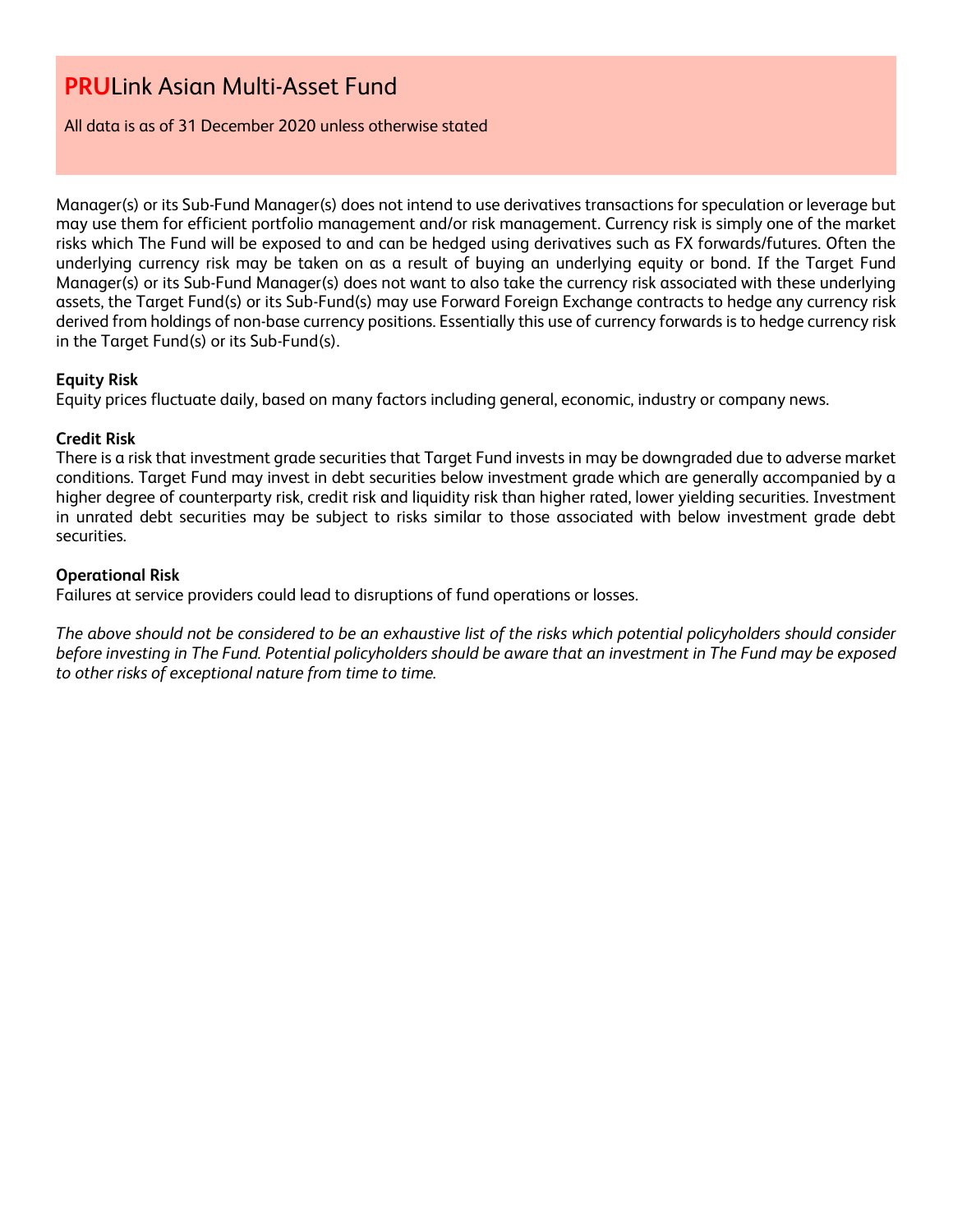All data is as of 31 December 2020 unless otherwise stated

Manager(s) or its Sub-Fund Manager(s) does not intend to use derivatives transactions for speculation or leverage but may use them for efficient portfolio management and/or risk management. Currency risk is simply one of the market risks which The Fund will be exposed to and can be hedged using derivatives such as FX forwards/futures. Often the underlying currency risk may be taken on as a result of buying an underlying equity or bond. If the Target Fund Manager(s) or its Sub-Fund Manager(s) does not want to also take the currency risk associated with these underlying assets, the Target Fund(s) or its Sub-Fund(s) may use Forward Foreign Exchange contracts to hedge any currency risk derived from holdings of non-base currency positions. Essentially this use of currency forwards is to hedge currency risk in the Target Fund(s) or its Sub-Fund(s).

# **Equity Risk**

Equity prices fluctuate daily, based on many factors including general, economic, industry or company news.

# **Credit Risk**

There is a risk that investment grade securities that Target Fund invests in may be downgraded due to adverse market conditions. Target Fund may invest in debt securities below investment grade which are generally accompanied by a higher degree of counterparty risk, credit risk and liquidity risk than higher rated, lower yielding securities. Investment in unrated debt securities may be subject to risks similar to those associated with below investment grade debt securities.

# **Operational Risk**

Failures at service providers could lead to disruptions of fund operations or losses.

*The above should not be considered to be an exhaustive list of the risks which potential policyholders should consider before investing in The Fund. Potential policyholders should be aware that an investment in The Fund may be exposed to other risks of exceptional nature from time to time.*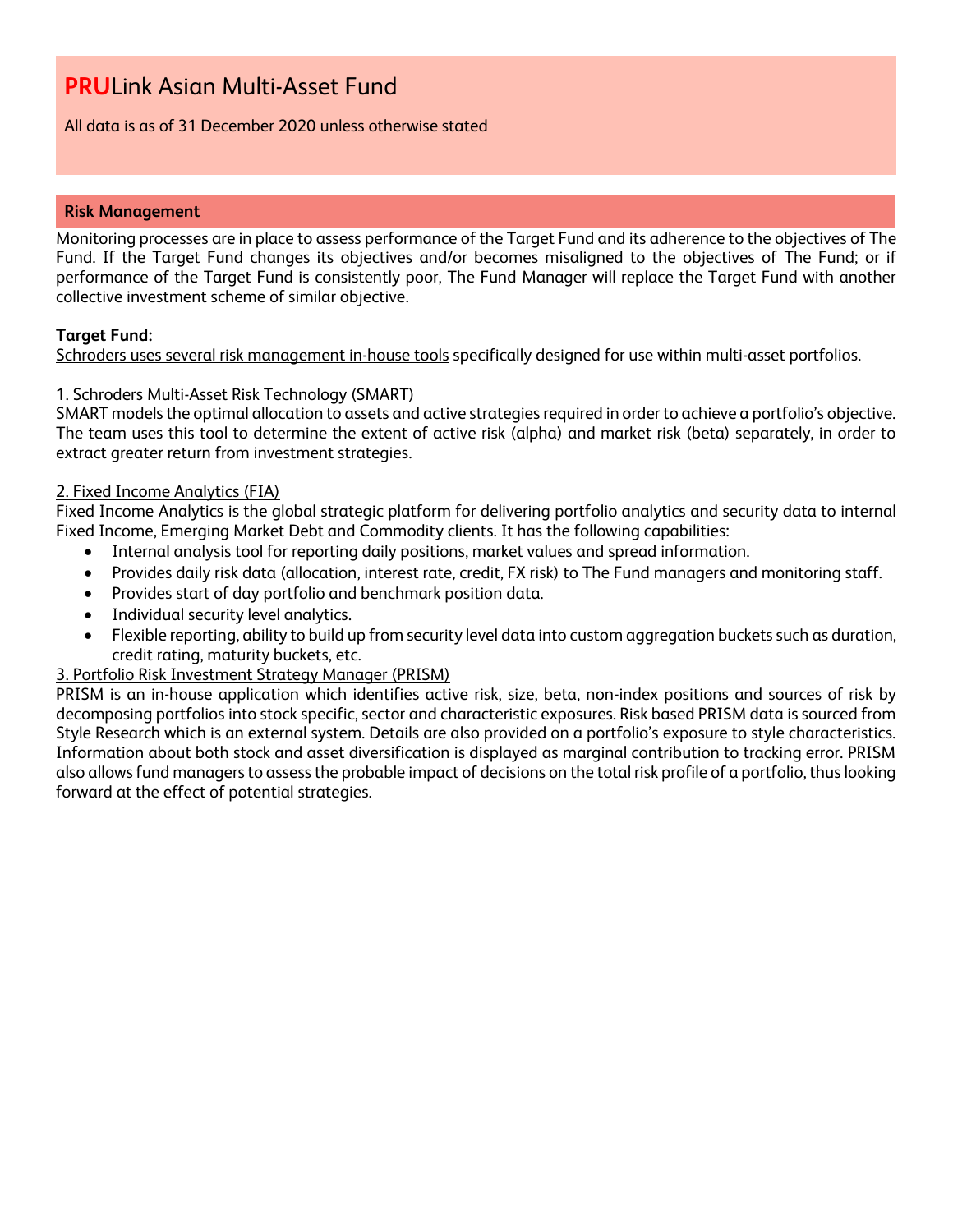# All data is as of 31 December 2020 unless otherwise stated

# **Risk Management**

Monitoring processes are in place to assess performance of the Target Fund and its adherence to the objectives of The Fund. If the Target Fund changes its objectives and/or becomes misaligned to the objectives of The Fund; or if performance of the Target Fund is consistently poor, The Fund Manager will replace the Target Fund with another collective investment scheme of similar objective.

# **Target Fund:**

Schroders uses several risk management in-house tools specifically designed for use within multi-asset portfolios.

# 1. Schroders Multi-Asset Risk Technology (SMART)

SMART models the optimal allocation to assets and active strategies required in order to achieve a portfolio's objective. The team uses this tool to determine the extent of active risk (alpha) and market risk (beta) separately, in order to extract greater return from investment strategies.

# 2. Fixed Income Analytics (FIA)

Fixed Income Analytics is the global strategic platform for delivering portfolio analytics and security data to internal Fixed Income, Emerging Market Debt and Commodity clients. It has the following capabilities:

- Internal analysis tool for reporting daily positions, market values and spread information.
- Provides daily risk data (allocation, interest rate, credit, FX risk) to The Fund managers and monitoring staff.
- Provides start of day portfolio and benchmark position data.
- Individual security level analytics.
- Flexible reporting, ability to build up from security level data into custom aggregation buckets such as duration, credit rating, maturity buckets, etc.

# 3. Portfolio Risk Investment Strategy Manager (PRISM)

PRISM is an in-house application which identifies active risk, size, beta, non-index positions and sources of risk by decomposing portfolios into stock specific, sector and characteristic exposures. Risk based PRISM data is sourced from Style Research which is an external system. Details are also provided on a portfolio's exposure to style characteristics. Information about both stock and asset diversification is displayed as marginal contribution to tracking error. PRISM also allows fund managers to assess the probable impact of decisions on the total risk profile of a portfolio, thus looking forward at the effect of potential strategies.